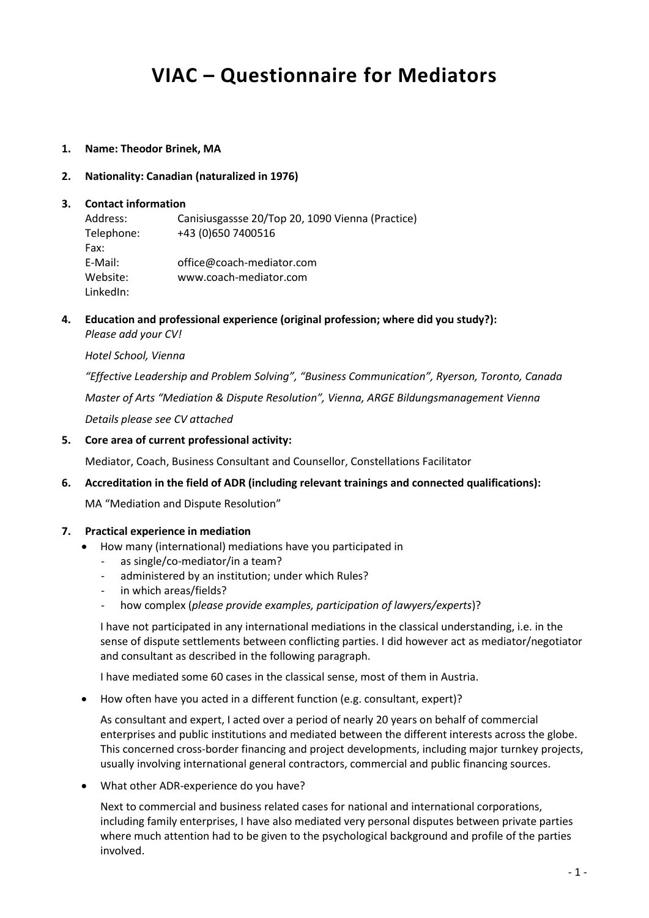# **VIAC – Questionnaire for Mediators**

**1. Name: Theodor Brinek, MA**

## **2. Nationality: Canadian (naturalized in 1976)**

#### **3. Contact information**

Address: Canisiusgassse 20/Top 20, 1090 Vienna (Practice) Telephone: +43 (0)650 7400516 Fax: E-Mail: office@coach-mediator.com Website: www.coach-mediator.com LinkedIn:

**4. Education and professional experience (original profession; where did you study?):** *Please add your CV!*

#### *Hotel School, Vienna*

*"Effective Leadership and Problem Solving", "Business Communication", Ryerson, Toronto, Canada Master of Arts "Mediation & Dispute Resolution", Vienna, ARGE Bildungsmanagement Vienna Details please see CV attached*

**5. Core area of current professional activity:**

Mediator, Coach, Business Consultant and Counsellor, Constellations Facilitator

**6. Accreditation in the field of ADR (including relevant trainings and connected qualifications):**

MA "Mediation and Dispute Resolution"

## **7. Practical experience in mediation**

- How many (international) mediations have you participated in
	- as single/co-mediator/in a team?
	- administered by an institution; under which Rules?
	- in which areas/fields?
	- how complex (*please provide examples, participation of lawyers/experts*)?

I have not participated in any international mediations in the classical understanding, i.e. in the sense of dispute settlements between conflicting parties. I did however act as mediator/negotiator and consultant as described in the following paragraph.

I have mediated some 60 cases in the classical sense, most of them in Austria.

How often have you acted in a different function (e.g. consultant, expert)?

As consultant and expert, I acted over a period of nearly 20 years on behalf of commercial enterprises and public institutions and mediated between the different interests across the globe. This concerned cross-border financing and project developments, including major turnkey projects, usually involving international general contractors, commercial and public financing sources.

What other ADR-experience do you have?

Next to commercial and business related cases for national and international corporations, including family enterprises, I have also mediated very personal disputes between private parties where much attention had to be given to the psychological background and profile of the parties involved.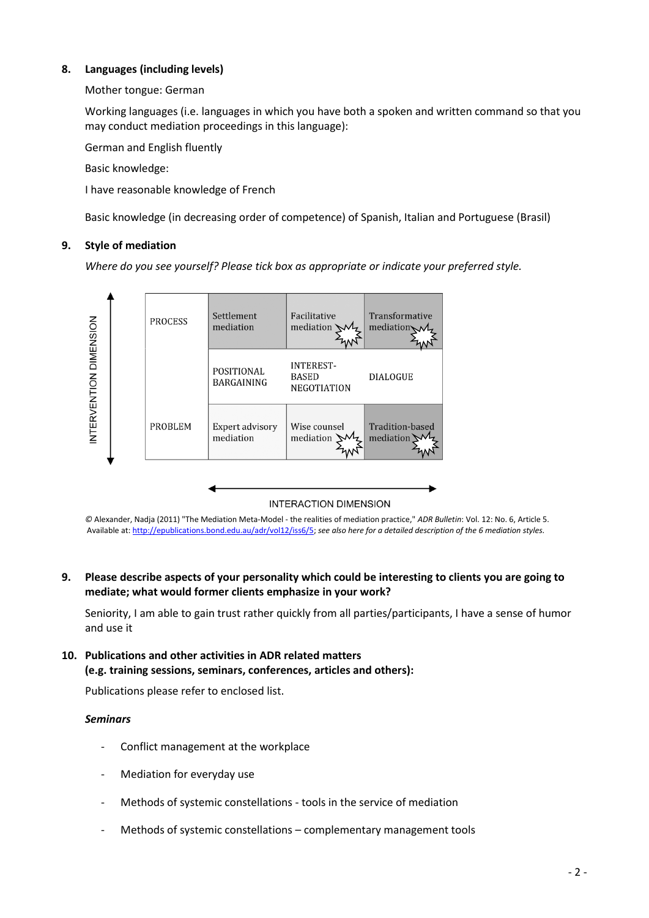# **8. Languages (including levels)**

# Mother tongue: German

Working languages (i.e. languages in which you have both a spoken and written command so that you may conduct mediation proceedings in this language):

German and English fluently

Basic knowledge:

I have reasonable knowledge of French

Basic knowledge (in decreasing order of competence) of Spanish, Italian and Portuguese (Brasil)

# **9. Style of mediation**

*Where do you see yourself? Please tick box as appropriate or indicate your preferred style.*



## **INTERACTION DIMENSION**

*©* Alexander, Nadja (2011) "The Mediation Meta-Model - the realities of mediation practice," *ADR Bulletin*: Vol. 12: No. 6, Article 5. Available at[: http://epublications.bond.edu.au/adr/vol12/iss6/5;](http://epublications.bond.edu.au/adr/vol12/iss6/5) *see also here for a detailed description of the 6 mediation styles.*

# **9. Please describe aspects of your personality which could be interesting to clients you are going to mediate; what would former clients emphasize in your work?**

Seniority, I am able to gain trust rather quickly from all parties/participants, I have a sense of humor and use it

# **10. Publications and other activities in ADR related matters (e.g. training sessions, seminars, conferences, articles and others):**

Publications please refer to enclosed list.

## *Seminars*

- Conflict management at the workplace
- Mediation for everyday use
- Methods of systemic constellations tools in the service of mediation
- Methods of systemic constellations complementary management tools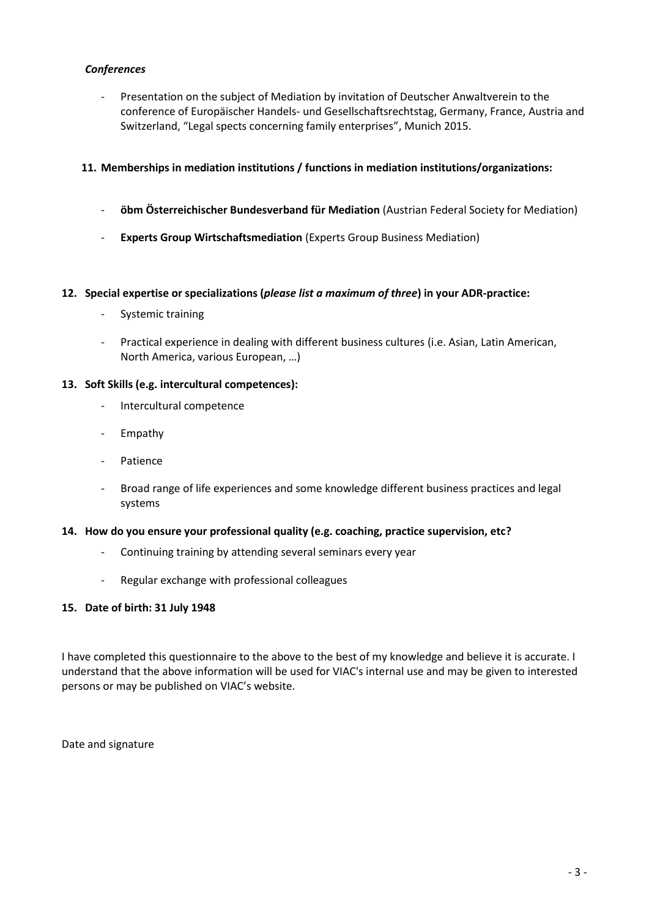# *Conferences*

- Presentation on the subject of Mediation by invitation of Deutscher Anwaltverein to the conference of Europäischer Handels- und Gesellschaftsrechtstag, Germany, France, Austria and Switzerland, "Legal spects concerning family enterprises", Munich 2015.

# **11. Memberships in mediation institutions / functions in mediation institutions/organizations:**

- **öbm Österreichischer Bundesverband für Mediation** (Austrian Federal Society for Mediation)
- **Experts Group Wirtschaftsmediation** (Experts Group Business Mediation)

#### **12. Special expertise or specializations (***please list a maximum of three***) in your ADR-practice:**

- Systemic training
- Practical experience in dealing with different business cultures (i.e. Asian, Latin American, North America, various European, …)

## **13. Soft Skills (e.g. intercultural competences):**

- Intercultural competence
- Empathy
- Patience
- Broad range of life experiences and some knowledge different business practices and legal systems

#### **14. How do you ensure your professional quality (e.g. coaching, practice supervision, etc?**

- Continuing training by attending several seminars every year
- Regular exchange with professional colleagues

## **15. Date of birth: 31 July 1948**

I have completed this questionnaire to the above to the best of my knowledge and believe it is accurate. I understand that the above information will be used for VIAC's internal use and may be given to interested persons or may be published on VIAC's website.

Date and signature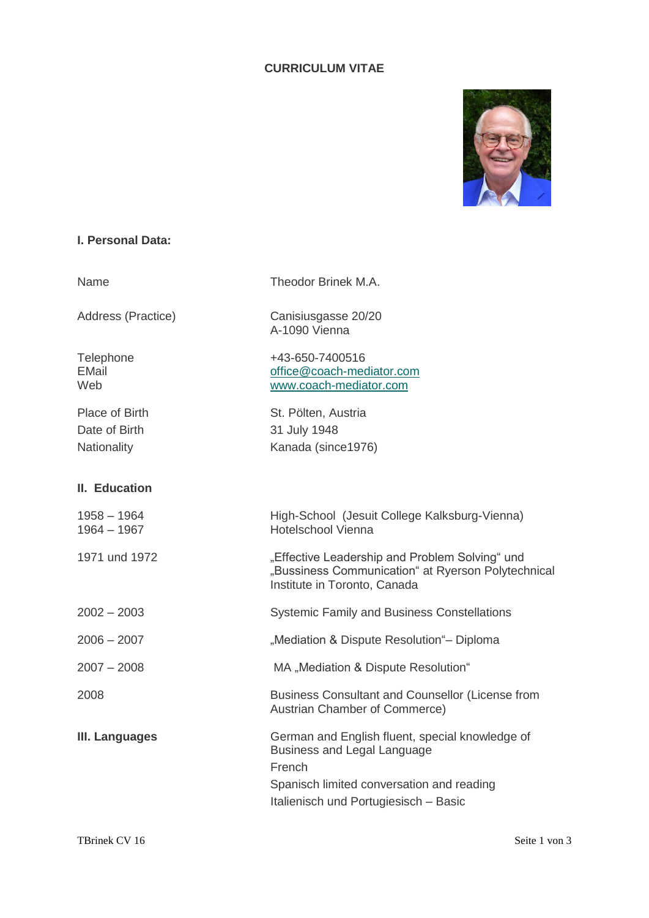# **CURRICULUM VITAE**



# **I. Personal Data:**

| Name                                           | Theodor Brinek M.A.                                                                                                                                                                   |
|------------------------------------------------|---------------------------------------------------------------------------------------------------------------------------------------------------------------------------------------|
| Address (Practice)                             | Canisiusgasse 20/20<br>A-1090 Vienna                                                                                                                                                  |
| Telephone<br><b>EMail</b><br>Web               | +43-650-7400516<br>office@coach-mediator.com<br>www.coach-mediator.com                                                                                                                |
| Place of Birth<br>Date of Birth<br>Nationality | St. Pölten, Austria<br>31 July 1948<br>Kanada (since1976)                                                                                                                             |
| II. Education                                  |                                                                                                                                                                                       |
| $1958 - 1964$<br>$1964 - 1967$                 | High-School (Jesuit College Kalksburg-Vienna)<br><b>Hotelschool Vienna</b>                                                                                                            |
| 1971 und 1972                                  | "Effective Leadership and Problem Solving" und<br>"Bussiness Communication" at Ryerson Polytechnical<br>Institute in Toronto, Canada                                                  |
| $2002 - 2003$                                  | <b>Systemic Family and Business Constellations</b>                                                                                                                                    |
| $2006 - 2007$                                  | "Mediation & Dispute Resolution"- Diploma                                                                                                                                             |
| $2007 - 2008$                                  | MA "Mediation & Dispute Resolution"                                                                                                                                                   |
| 2008                                           | Business Consultant and Counsellor (License from<br>Austrian Chamber of Commerce)                                                                                                     |
| III. Languages                                 | German and English fluent, special knowledge of<br><b>Business and Legal Language</b><br>French<br>Spanisch limited conversation and reading<br>Italienisch und Portugiesisch - Basic |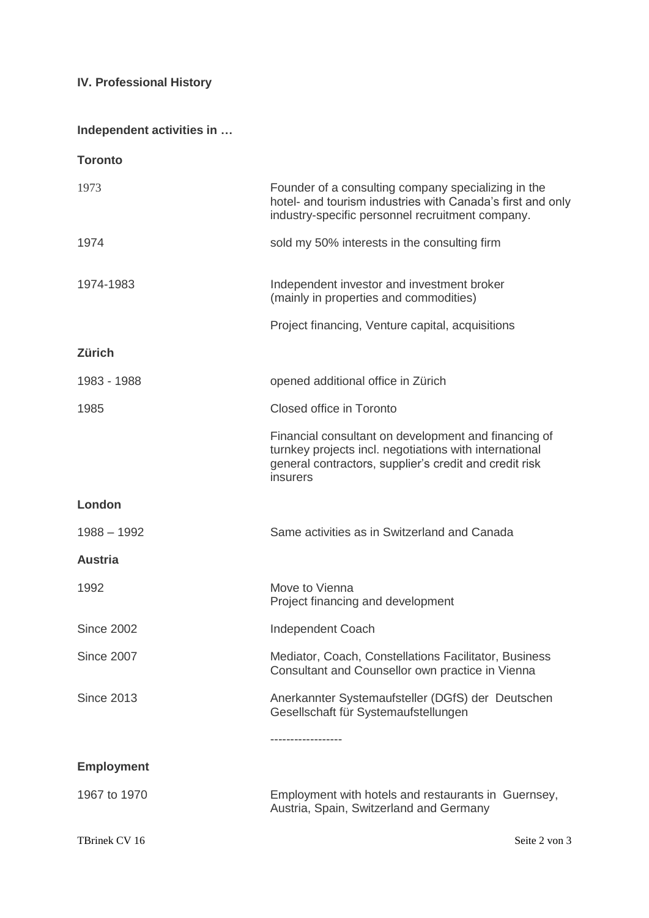# **IV. Professional History**

# **Independent activities in …**

| <b>Toronto</b>    |                                                                                                                                                                                      |
|-------------------|--------------------------------------------------------------------------------------------------------------------------------------------------------------------------------------|
| 1973              | Founder of a consulting company specializing in the<br>hotel- and tourism industries with Canada's first and only<br>industry-specific personnel recruitment company.                |
| 1974              | sold my 50% interests in the consulting firm                                                                                                                                         |
| 1974-1983         | Independent investor and investment broker<br>(mainly in properties and commodities)                                                                                                 |
|                   | Project financing, Venture capital, acquisitions                                                                                                                                     |
| <b>Zürich</b>     |                                                                                                                                                                                      |
| 1983 - 1988       | opened additional office in Zürich                                                                                                                                                   |
| 1985              | Closed office in Toronto                                                                                                                                                             |
|                   | Financial consultant on development and financing of<br>turnkey projects incl. negotiations with international<br>general contractors, supplier's credit and credit risk<br>insurers |
| London            |                                                                                                                                                                                      |
| $1988 - 1992$     | Same activities as in Switzerland and Canada                                                                                                                                         |
| <b>Austria</b>    |                                                                                                                                                                                      |
| 1992              | Move to Vienna<br>Project financing and development                                                                                                                                  |
| <b>Since 2002</b> | <b>Independent Coach</b>                                                                                                                                                             |
| <b>Since 2007</b> | Mediator, Coach, Constellations Facilitator, Business<br>Consultant and Counsellor own practice in Vienna                                                                            |
| <b>Since 2013</b> | Anerkannter Systemaufsteller (DGfS) der Deutschen<br>Gesellschaft für Systemaufstellungen                                                                                            |
|                   | ----------------                                                                                                                                                                     |
| <b>Employment</b> |                                                                                                                                                                                      |
| 1967 to 1970      | Employment with hotels and restaurants in Guernsey,<br>Austria, Spain, Switzerland and Germany                                                                                       |
| TBrinek CV 16     | Seite 2 von 3                                                                                                                                                                        |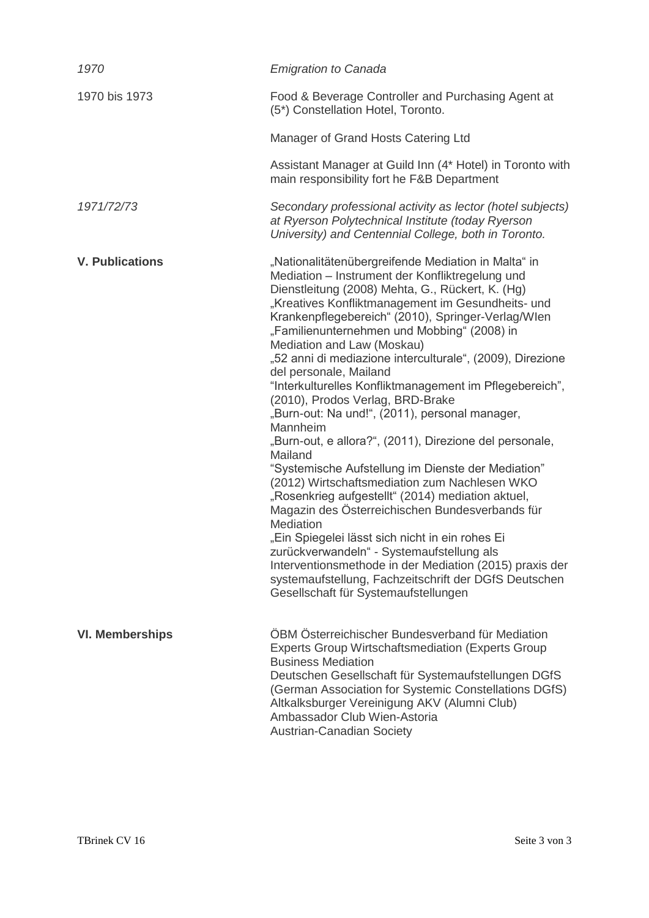| 1970                   | <b>Emigration to Canada</b>                                                                                                                                                                                                                                                                                                                                                                                                                                                                                                                                                                                                                                                                                                                                                                                                                                                                                                                                                                                                                                                                                                                                          |
|------------------------|----------------------------------------------------------------------------------------------------------------------------------------------------------------------------------------------------------------------------------------------------------------------------------------------------------------------------------------------------------------------------------------------------------------------------------------------------------------------------------------------------------------------------------------------------------------------------------------------------------------------------------------------------------------------------------------------------------------------------------------------------------------------------------------------------------------------------------------------------------------------------------------------------------------------------------------------------------------------------------------------------------------------------------------------------------------------------------------------------------------------------------------------------------------------|
| 1970 bis 1973          | Food & Beverage Controller and Purchasing Agent at<br>(5*) Constellation Hotel, Toronto.                                                                                                                                                                                                                                                                                                                                                                                                                                                                                                                                                                                                                                                                                                                                                                                                                                                                                                                                                                                                                                                                             |
|                        | Manager of Grand Hosts Catering Ltd                                                                                                                                                                                                                                                                                                                                                                                                                                                                                                                                                                                                                                                                                                                                                                                                                                                                                                                                                                                                                                                                                                                                  |
|                        | Assistant Manager at Guild Inn (4* Hotel) in Toronto with<br>main responsibility fort he F&B Department                                                                                                                                                                                                                                                                                                                                                                                                                                                                                                                                                                                                                                                                                                                                                                                                                                                                                                                                                                                                                                                              |
| 1971/72/73             | Secondary professional activity as lector (hotel subjects)<br>at Ryerson Polytechnical Institute (today Ryerson<br>University) and Centennial College, both in Toronto.                                                                                                                                                                                                                                                                                                                                                                                                                                                                                                                                                                                                                                                                                                                                                                                                                                                                                                                                                                                              |
| <b>V. Publications</b> | "Nationalitätenübergreifende Mediation in Malta" in<br>Mediation - Instrument der Konfliktregelung und<br>Dienstleitung (2008) Mehta, G., Rückert, K. (Hg)<br>"Kreatives Konfliktmanagement im Gesundheits- und<br>Krankenpflegebereich" (2010), Springer-Verlag/Wlen<br>"Familienunternehmen und Mobbing" (2008) in<br>Mediation and Law (Moskau)<br>"52 anni di mediazione interculturale", (2009), Direzione<br>del personale, Mailand<br>"Interkulturelles Konfliktmanagement im Pflegebereich",<br>(2010), Prodos Verlag, BRD-Brake<br>"Burn-out: Na und!", (2011), personal manager,<br>Mannheim<br>"Burn-out, e allora?", (2011), Direzione del personale,<br>Mailand<br>"Systemische Aufstellung im Dienste der Mediation"<br>(2012) Wirtschaftsmediation zum Nachlesen WKO<br>"Rosenkrieg aufgestellt" (2014) mediation aktuel,<br>Magazin des Österreichischen Bundesverbands für<br>Mediation<br>"Ein Spiegelei lässt sich nicht in ein rohes Ei<br>zurückverwandeln" - Systemaufstellung als<br>Interventionsmethode in der Mediation (2015) praxis der<br>systemaufstellung, Fachzeitschrift der DGfS Deutschen<br>Gesellschaft für Systemaufstellungen |
| <b>VI. Memberships</b> | ÖBM Österreichischer Bundesverband für Mediation<br><b>Experts Group Wirtschaftsmediation (Experts Group</b><br><b>Business Mediation</b><br>Deutschen Gesellschaft für Systemaufstellungen DGfS<br>(German Association for Systemic Constellations DGfS)<br>Altkalksburger Vereinigung AKV (Alumni Club)<br>Ambassador Club Wien-Astoria<br>Austrian-Canadian Society                                                                                                                                                                                                                                                                                                                                                                                                                                                                                                                                                                                                                                                                                                                                                                                               |